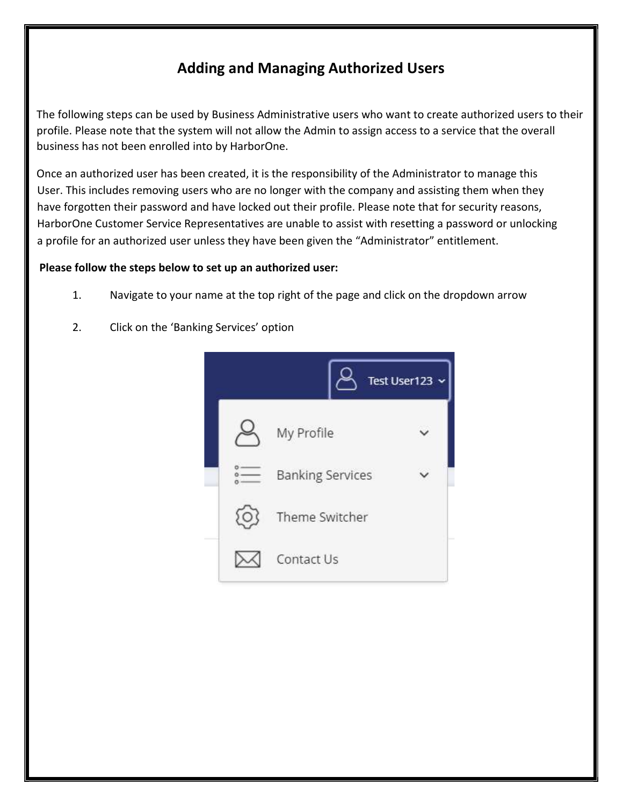# Adding and Managing Authorized Users

The following steps can be used by Business Administrative users who want to create authorized users to their profile. Please note that the system will not allow the Admin to assign access to a service that the overall business has not been enrolled into by HarborOne.

Once an authorized user has been created, it is the responsibility of the Administrator to manage this User. This includes removing users who are no longer with the company and assisting them when they have forgotten their password and have locked out their profile. Please note that for security reasons, HarborOne Customer Service Representatives are unable to assist with resetting a password or unlocking a profile for an authorized user unless they have been given the "Administrator" entitlement.

#### Please follow the steps below to set up an authorized user:

- 1. Navigate to your name at the top right of the page and click on the dropdown arrow
- 2. Click on the 'Banking Services' option

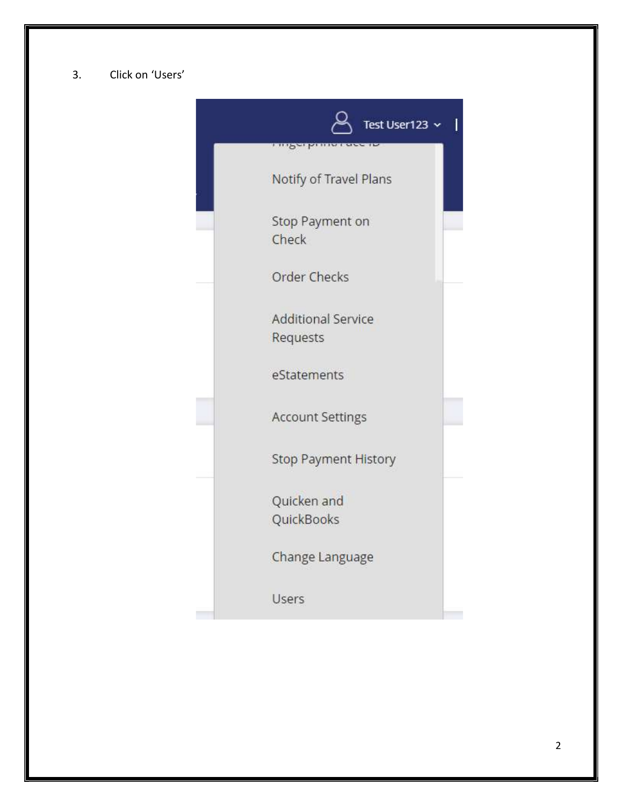#### 3. Click on 'Users'

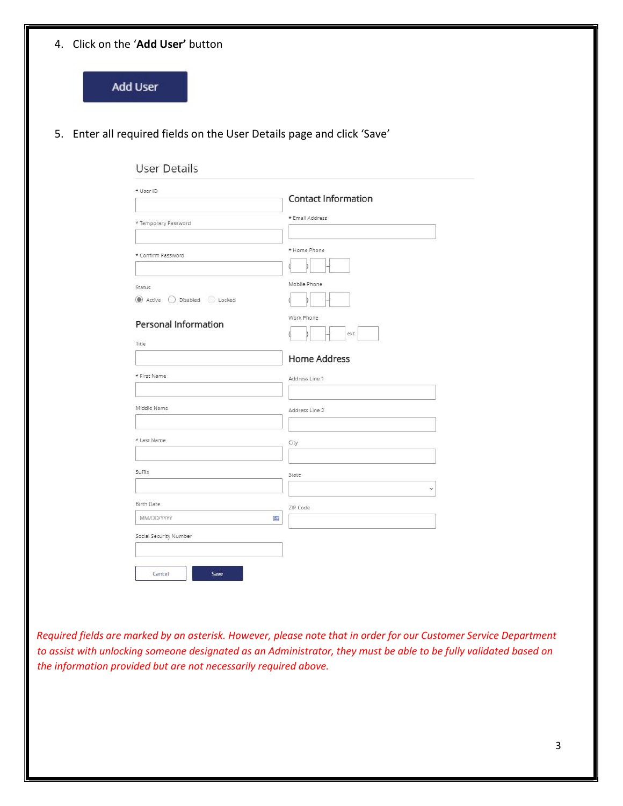|                                      | 5. Enter all required fields on the User Details page and click 'Save' |
|--------------------------------------|------------------------------------------------------------------------|
| <b>User Details</b>                  |                                                                        |
| * User ID                            |                                                                        |
|                                      | <b>Contact Information</b>                                             |
| * Temporary Password                 | * Email Address                                                        |
|                                      |                                                                        |
| * Confirm Password                   | * Home Phone                                                           |
|                                      |                                                                        |
| Status<br>Active O Disabled O Locked | Mobile Phone                                                           |
|                                      | Work Phone                                                             |
| Personal Information<br>Title        | ext.                                                                   |
|                                      | <b>Home Address</b>                                                    |
| * First Name                         | Address Line 1                                                         |
|                                      |                                                                        |
| Middle Name                          | Address Line 2                                                         |
|                                      |                                                                        |
| * Last Name                          | City                                                                   |
|                                      |                                                                        |
| Suffix                               | State                                                                  |
|                                      | $\checkmark$                                                           |
| Birth Date<br>MM/DD/YYYY<br>囲        | ZIP Code                                                               |
| Social Security Number               |                                                                        |
|                                      |                                                                        |
| Cancel<br>Save                       |                                                                        |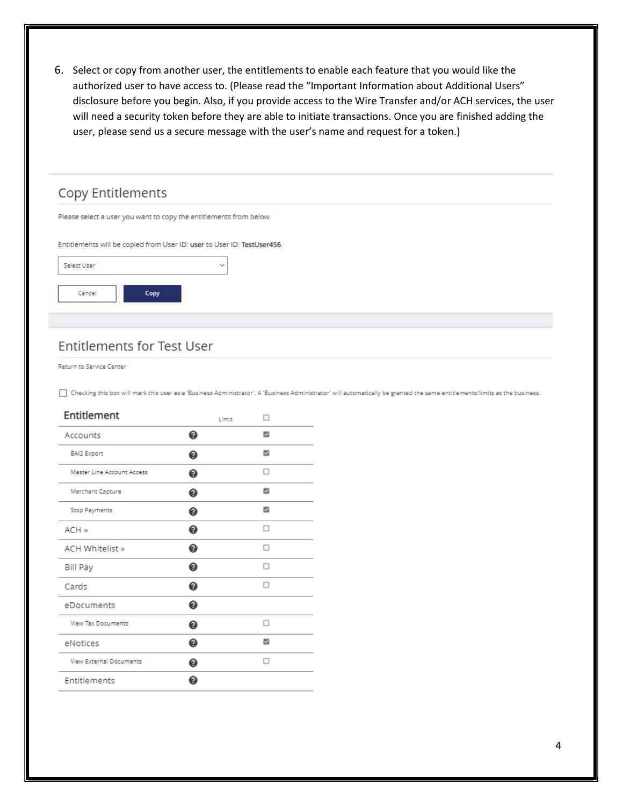6. Select or copy from another user, the entitlements to enable each feature that you would like the authorized user to have access to. (Please read the "Important Information about Additional Users" disclosure before you begin. Also, if you provide access to the Wire Transfer and/or ACH services, the user will need a security token before they are able to initiate transactions. Once you are finished adding the user, please send us a secure message with the user's name and request for a token.)

| Please select a user you want to copy the entitlements from below. |                                                                         |  |
|--------------------------------------------------------------------|-------------------------------------------------------------------------|--|
|                                                                    |                                                                         |  |
|                                                                    |                                                                         |  |
| $\checkmark$                                                       |                                                                         |  |
|                                                                    |                                                                         |  |
|                                                                    |                                                                         |  |
|                                                                    | Entitlements will be copied from User ID: user to User ID: TestUser456. |  |

### **Entitlements for Test User**

Return to Service Center

Checking this box will mark this user as a 'Business Administrator'. A 'Business Administrator' will automatically be granted the same entitlements/limits as the business.

| Entitlement                | Limit | п |
|----------------------------|-------|---|
| Accounts                   | ❼     | 図 |
| <b>BAI2 Export</b>         | ❼     | 匢 |
| Master Line Account Access | ❼     | п |
| Merchant Capture           | ⋒     | M |
| Stop Payments              | ⋒     | ø |
| ACH »                      | ⋒     | п |
| ACH Whitelist »            | ଈ     | п |
| Bill Pay                   | ⋒     | n |
| Cards                      | ଈ     | □ |
| eDocuments                 | ଈ     |   |
| <b>View Tax Documents</b>  | の     | п |
| eNotices                   | ⋒     | 図 |
| View External Documents    | ⋒     | п |
| Entitlements               |       |   |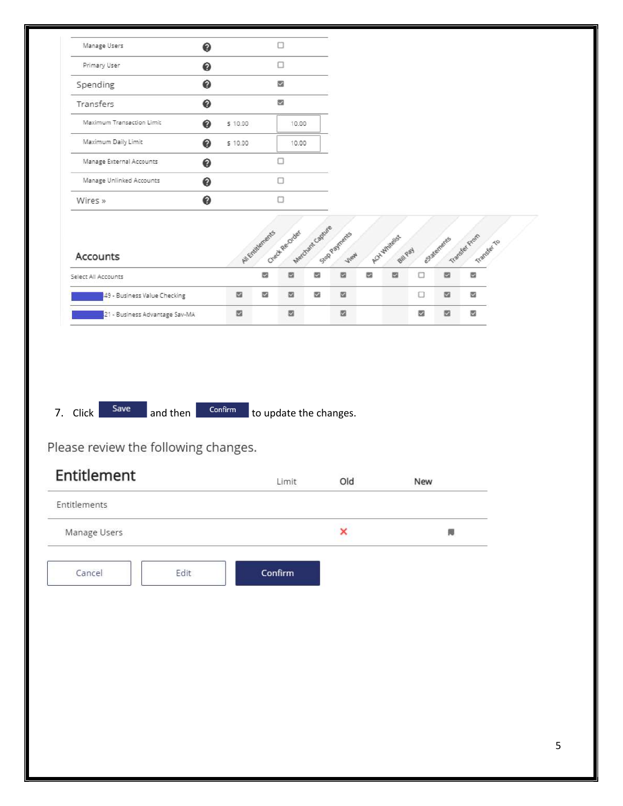| ◉<br>ø<br>図<br>●<br>Maximum Transaction Limit<br>◉<br>\$10.00<br>10.00<br>Maximum Daily Limit<br>◉<br>\$10.00<br>10.00<br>α<br>Manage External Accounts<br>◉<br>◉<br>□<br>Manage Unlinked Accounts<br>◉<br>$\Box$<br>Merchant Capure<br>Check Recorded<br>AJ Entitlements<br>Sop Paynents<br>Transfer From<br>ACYL Whiteles<br>Statements<br>Transfer To<br><b>Bull Pay</b><br>-flex<br>S<br>図<br><b>ta</b><br>s<br>図<br>$\Box$<br>國<br><b>M</b><br>國<br>盟<br>s<br>盟<br>図<br>盟<br>$\Box$<br>盟<br>図<br>49 - Business Value Checking<br>四<br>▩<br>四<br>ø<br>四<br>z<br>21 - Business Advantage Sav-MA<br>Save<br>$\operatorname{\sf Confirm}$<br>and then<br>to update the changes.<br>Old<br>Limit<br>New<br>×<br>N<br>Confirm<br>Edit | Primary User | ◉ |  | $\Box$ |  |  |  |  |  |
|--------------------------------------------------------------------------------------------------------------------------------------------------------------------------------------------------------------------------------------------------------------------------------------------------------------------------------------------------------------------------------------------------------------------------------------------------------------------------------------------------------------------------------------------------------------------------------------------------------------------------------------------------------------------------------------------------------------------------------------|--------------|---|--|--------|--|--|--|--|--|
|                                                                                                                                                                                                                                                                                                                                                                                                                                                                                                                                                                                                                                                                                                                                      | Spending     |   |  |        |  |  |  |  |  |
|                                                                                                                                                                                                                                                                                                                                                                                                                                                                                                                                                                                                                                                                                                                                      | Transfers    |   |  |        |  |  |  |  |  |
|                                                                                                                                                                                                                                                                                                                                                                                                                                                                                                                                                                                                                                                                                                                                      |              |   |  |        |  |  |  |  |  |
|                                                                                                                                                                                                                                                                                                                                                                                                                                                                                                                                                                                                                                                                                                                                      |              |   |  |        |  |  |  |  |  |
|                                                                                                                                                                                                                                                                                                                                                                                                                                                                                                                                                                                                                                                                                                                                      |              |   |  |        |  |  |  |  |  |
|                                                                                                                                                                                                                                                                                                                                                                                                                                                                                                                                                                                                                                                                                                                                      |              |   |  |        |  |  |  |  |  |
| Accounts<br>Select All Accounts<br>7. Click<br>Please review the following changes.<br>Entitlement<br>Entitlements<br>Manage Users<br>Cancel                                                                                                                                                                                                                                                                                                                                                                                                                                                                                                                                                                                         | Wires »      |   |  |        |  |  |  |  |  |
|                                                                                                                                                                                                                                                                                                                                                                                                                                                                                                                                                                                                                                                                                                                                      |              |   |  |        |  |  |  |  |  |
|                                                                                                                                                                                                                                                                                                                                                                                                                                                                                                                                                                                                                                                                                                                                      |              |   |  |        |  |  |  |  |  |
|                                                                                                                                                                                                                                                                                                                                                                                                                                                                                                                                                                                                                                                                                                                                      |              |   |  |        |  |  |  |  |  |
|                                                                                                                                                                                                                                                                                                                                                                                                                                                                                                                                                                                                                                                                                                                                      |              |   |  |        |  |  |  |  |  |
|                                                                                                                                                                                                                                                                                                                                                                                                                                                                                                                                                                                                                                                                                                                                      |              |   |  |        |  |  |  |  |  |
|                                                                                                                                                                                                                                                                                                                                                                                                                                                                                                                                                                                                                                                                                                                                      |              |   |  |        |  |  |  |  |  |
|                                                                                                                                                                                                                                                                                                                                                                                                                                                                                                                                                                                                                                                                                                                                      |              |   |  |        |  |  |  |  |  |
|                                                                                                                                                                                                                                                                                                                                                                                                                                                                                                                                                                                                                                                                                                                                      |              |   |  |        |  |  |  |  |  |
|                                                                                                                                                                                                                                                                                                                                                                                                                                                                                                                                                                                                                                                                                                                                      |              |   |  |        |  |  |  |  |  |